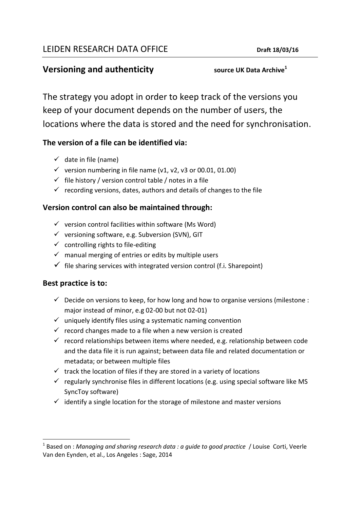# **Versioning and authenticity source UK Data Archive**<sup>1</sup>

The strategy you adopt in order to keep track of the versions you keep of your document depends on the number of users, the locations where the data is stored and the need for synchronisation.

# **The version of a file can be identified via:**

- $\checkmark$  date in file (name)
- $\checkmark$  version numbering in file name (v1, v2, v3 or 00.01, 01.00)
- $\checkmark$  file history / version control table / notes in a file
- $\checkmark$  recording versions, dates, authors and details of changes to the file

# **Version control can also be maintained through:**

- $\checkmark$  version control facilities within software (Ms Word)
- $\checkmark$  versioning software, e.g. Subversion (SVN), GIT
- $\checkmark$  controlling rights to file-editing
- $\checkmark$  manual merging of entries or edits by multiple users
- $\checkmark$  file sharing services with integrated version control (f.i. Sharepoint)

### **Best practice is to:**

- $\checkmark$  Decide on versions to keep, for how long and how to organise versions (milestone : major instead of minor, e.g 02-00 but not 02-01)
- $\checkmark$  uniquely identify files using a systematic naming convention
- $\checkmark$  record changes made to a file when a new version is created
- $\checkmark$  record relationships between items where needed, e.g. relationship between code and the data file it is run against; between data file and related documentation or metadata; or between multiple files
- $\checkmark$  track the location of files if they are stored in a variety of locations
- $\checkmark$  regularly synchronise files in different locations (e.g. using special software like MS SyncToy software)
- $\checkmark$  identify a single location for the storage of milestone and master versions

<sup>1</sup> <sup>1</sup> Based on : *Managing and sharing research data : a guide to good practice* / Louise Corti, Veerle Van den Eynden, et al., Los Angeles : Sage, 2014